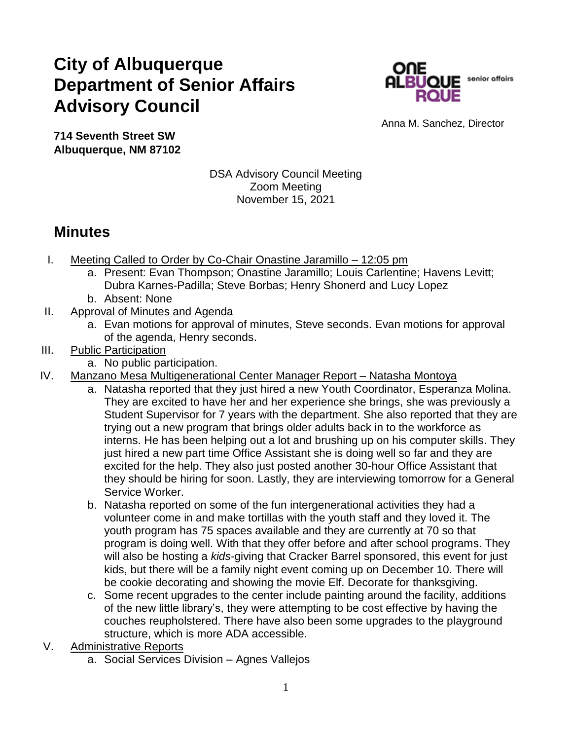## **City of Albuquerque Department of Senior Affairs Advisory Council**



Anna M. Sanchez, Director

**714 Seventh Street SW Albuquerque, NM 87102**

## DSA Advisory Council Meeting Zoom Meeting November 15, 2021

## **Minutes**

- I. Meeting Called to Order by Co-Chair Onastine Jaramillo 12:05 pm
	- a. Present: Evan Thompson; Onastine Jaramillo; Louis Carlentine; Havens Levitt; Dubra Karnes-Padilla; Steve Borbas; Henry Shonerd and Lucy Lopez
	- b. Absent: None
- II. Approval of Minutes and Agenda
	- a. Evan motions for approval of minutes, Steve seconds. Evan motions for approval of the agenda, Henry seconds.
- III. Public Participation
	- a. No public participation.
- IV. Manzano Mesa Multigenerational Center Manager Report Natasha Montoya
	- a. Natasha reported that they just hired a new Youth Coordinator, Esperanza Molina. They are excited to have her and her experience she brings, she was previously a Student Supervisor for 7 years with the department. She also reported that they are trying out a new program that brings older adults back in to the workforce as interns. He has been helping out a lot and brushing up on his computer skills. They just hired a new part time Office Assistant she is doing well so far and they are excited for the help. They also just posted another 30-hour Office Assistant that they should be hiring for soon. Lastly, they are interviewing tomorrow for a General Service Worker.
	- b. Natasha reported on some of the fun intergenerational activities they had a volunteer come in and make tortillas with the youth staff and they loved it. The youth program has 75 spaces available and they are currently at 70 so that program is doing well. With that they offer before and after school programs. They will also be hosting a *kids-*giving that Cracker Barrel sponsored, this event for just kids, but there will be a family night event coming up on December 10. There will be cookie decorating and showing the movie Elf. Decorate for thanksgiving.
	- c. Some recent upgrades to the center include painting around the facility, additions of the new little library's, they were attempting to be cost effective by having the couches reupholstered. There have also been some upgrades to the playground structure, which is more ADA accessible.
- V. Administrative Reports
	- a. Social Services Division Agnes Vallejos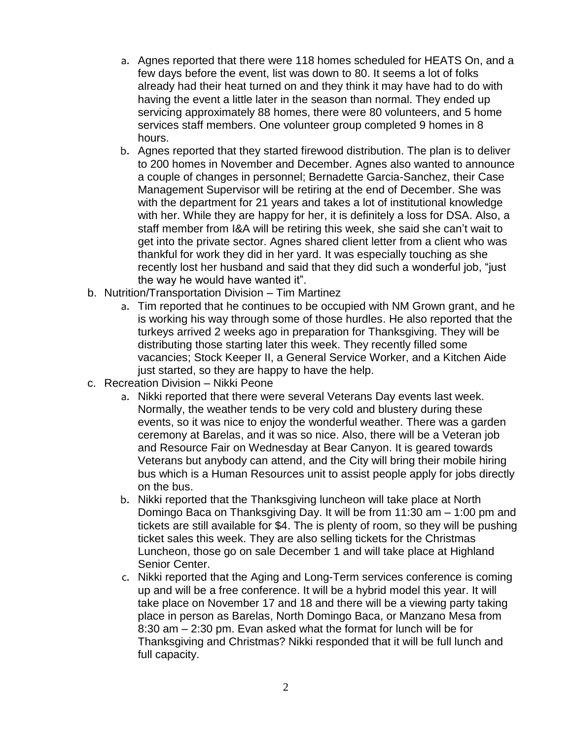- a. Agnes reported that there were 118 homes scheduled for HEATS On, and a few days before the event, list was down to 80. It seems a lot of folks already had their heat turned on and they think it may have had to do with having the event a little later in the season than normal. They ended up servicing approximately 88 homes, there were 80 volunteers, and 5 home services staff members. One volunteer group completed 9 homes in 8 hours.
- b. Agnes reported that they started firewood distribution. The plan is to deliver to 200 homes in November and December. Agnes also wanted to announce a couple of changes in personnel; Bernadette Garcia-Sanchez, their Case Management Supervisor will be retiring at the end of December. She was with the department for 21 years and takes a lot of institutional knowledge with her. While they are happy for her, it is definitely a loss for DSA. Also, a staff member from I&A will be retiring this week, she said she can't wait to get into the private sector. Agnes shared client letter from a client who was thankful for work they did in her yard. It was especially touching as she recently lost her husband and said that they did such a wonderful job, "just the way he would have wanted it".
- b. Nutrition/Transportation Division Tim Martinez
	- a. Tim reported that he continues to be occupied with NM Grown grant, and he is working his way through some of those hurdles. He also reported that the turkeys arrived 2 weeks ago in preparation for Thanksgiving. They will be distributing those starting later this week. They recently filled some vacancies; Stock Keeper II, a General Service Worker, and a Kitchen Aide just started, so they are happy to have the help.
- c. Recreation Division Nikki Peone
	- a. Nikki reported that there were several Veterans Day events last week. Normally, the weather tends to be very cold and blustery during these events, so it was nice to enjoy the wonderful weather. There was a garden ceremony at Barelas, and it was so nice. Also, there will be a Veteran job and Resource Fair on Wednesday at Bear Canyon. It is geared towards Veterans but anybody can attend, and the City will bring their mobile hiring bus which is a Human Resources unit to assist people apply for jobs directly on the bus.
	- b. Nikki reported that the Thanksgiving luncheon will take place at North Domingo Baca on Thanksgiving Day. It will be from 11:30 am – 1:00 pm and tickets are still available for \$4. The is plenty of room, so they will be pushing ticket sales this week. They are also selling tickets for the Christmas Luncheon, those go on sale December 1 and will take place at Highland Senior Center.
	- c. Nikki reported that the Aging and Long-Term services conference is coming up and will be a free conference. It will be a hybrid model this year. It will take place on November 17 and 18 and there will be a viewing party taking place in person as Barelas, North Domingo Baca, or Manzano Mesa from 8:30 am – 2:30 pm. Evan asked what the format for lunch will be for Thanksgiving and Christmas? Nikki responded that it will be full lunch and full capacity.